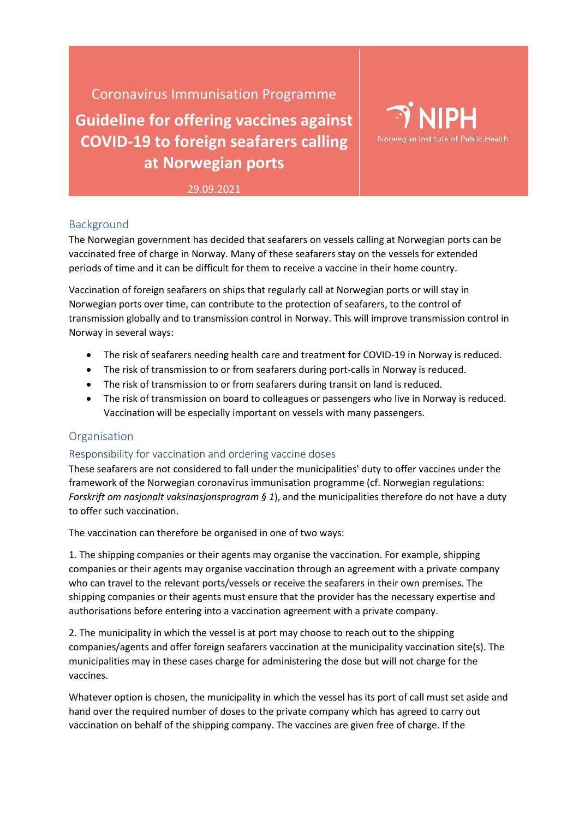Coronavirus Immunisation Programme

**Guideline for offering vaccines against COVID-19 to foreign seafarers calling at Norwegian ports**



29.09.2021

# Background

The Norwegian government has decided that seafarers on vessels calling at Norwegian ports can be vaccinated free of charge in Norway. Many of these seafarers stay on the vessels for extended periods of time and it can be difficult for them to receive a vaccine in their home country.

Vaccination of foreign seafarers on ships that regularly call at Norwegian ports or will stay in Norwegian ports over time, can contribute to the protection of seafarers, to the control of transmission globally and to transmission control in Norway. This will improve transmission control in Norway in several ways:

- The risk of seafarers needing health care and treatment for COVID-19 in Norway is reduced.
- The risk of transmission to or from seafarers during port-calls in Norway is reduced.
- The risk of transmission to or from seafarers during transit on land is reduced.
- The risk of transmission on board to colleagues or passengers who live in Norway is reduced. Vaccination will be especially important on vessels with many passengers.

## Organisation

## Responsibility for vaccination and ordering vaccine doses

These seafarers are not considered to fall under the municipalities' duty to offer vaccines under the framework of the Norwegian coronavirus immunisation programme (cf. Norwegian regulations: *Forskrift om nasjonalt vaksinasjonsprogram § 1*), and the municipalities therefore do not have a duty to offer such vaccination.

The vaccination can therefore be organised in one of two ways:

1. The shipping companies or their agents may organise the vaccination. For example, shipping companies or their agents may organise vaccination through an agreement with a private company who can travel to the relevant ports/vessels or receive the seafarers in their own premises. The shipping companies or their agents must ensure that the provider has the necessary expertise and authorisations before entering into a vaccination agreement with a private company.

2. The municipality in which the vessel is at port may choose to reach out to the shipping companies/agents and offer foreign seafarers vaccination at the municipality vaccination site(s). The municipalities may in these cases charge for administering the dose but will not charge for the vaccines.

Whatever option is chosen, the municipality in which the vessel has its port of call must set aside and hand over the required number of doses to the private company which has agreed to carry out vaccination on behalf of the shipping company. The vaccines are given free of charge. If the